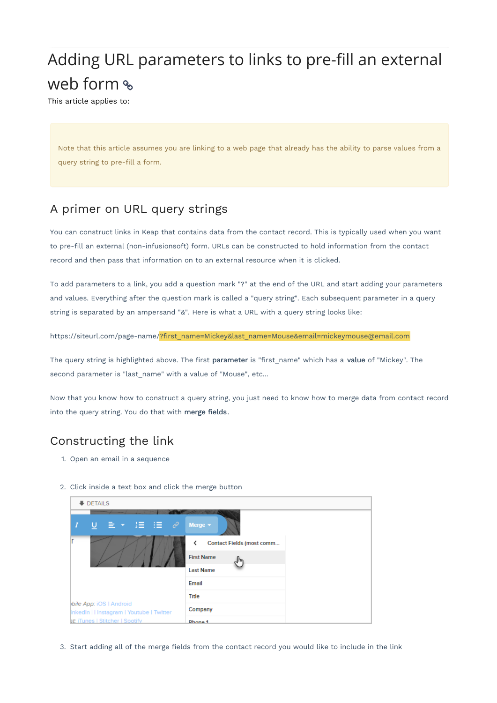## Adding URL parameters to links to pre-fill an external web form %

This article applies to:

Note that this article assumes you are linking to a web page that already has the ability to parse values from a query string to pre-fill a form.

## A primer on URL query strings

You can construct links in Keap that contains data from the contact record. This is typically used when you want to pre-fill an external (non-infusionsoft) form. URLs can be constructed to hold information from the contact record and then pass that information on to an external resource when it is clicked.

To add parameters to a link, you add a question mark "?" at the end of the URL and start adding your parameters and values. Everything after the question mark is called a "query string". Each subsequent parameter in a query string is separated by an ampersand "&". Here is what a URL with a query string looks like:

https://siteurl.com/page-name/?first\_name=Mickey&last\_name=Mouse&email=mickeymouse@email.com

The query string is highlighted above. The first parameter is "first\_name" which has a value of "Mickey". The second parameter is "last\_name" with a value of "Mouse", etc...

Now that you know how to construct a query string, you just need to know how to merge data from contact record into the query string. You do that with merge fields.

## Constructing the link

- 1. Open an email in a sequence
- 2. Click inside a text box and click the merge button

| DETAILS                                                                                                 |                                |
|---------------------------------------------------------------------------------------------------------|--------------------------------|
| $\underline{U} \quad \Xi \quad \star \quad \Xi \quad \Xi \quad \Xi \quad \mathcal{O}$<br>$\overline{I}$ | Merge $\star$                  |
|                                                                                                         | Contact Fields (most comm<br>∢ |
|                                                                                                         | <b>First Name</b><br>յհո       |
|                                                                                                         | <b>Last Name</b>               |
|                                                                                                         | Email                          |
|                                                                                                         | Title                          |
| bile App: iOS   Android<br>inkedIn   I Instagram   Youtube   Twitter                                    | Company                        |
| st: iTunes   Stitcher   Spotify                                                                         | Dhona 1                        |

3. Start adding all of the merge fields from the contact record you would like to include in the link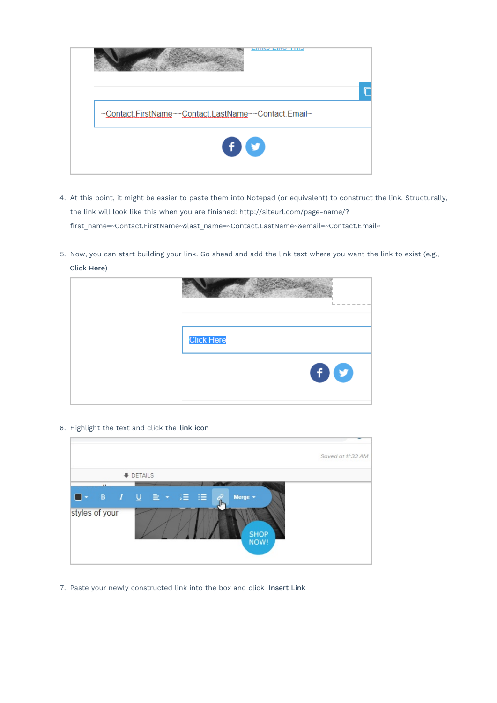

- 4. At this point, it might be easier to paste them into Notepad (or equivalent) to construct the link. Structurally, the link will look like this when you are finished: http://siteurl.com/page-name/? first\_name=~Contact.FirstName~&last\_name=~Contact.LastName~&email=~Contact.Email~
- 5. Now, you can start building your link. Go ahead and add the link text where you want the link to exist (e.g., Click Here)

| $- - - - - -$<br><b>STATE</b><br>$\sim$<br>ь. |
|-----------------------------------------------|
| <b>Click Here</b>                             |
| $\mathbf{\Theta}$                             |

6. Highlight the text and click the link icon

|                                                                            | Saved at 11:33 AM |
|----------------------------------------------------------------------------|-------------------|
| DETAILS                                                                    |                   |
| $-41$<br>ĉ<br>Merge $\sim$<br>խհղ<br>styles of your<br><b>SHOP</b><br>NOW! |                   |

7. Paste your newly constructed link into the box and click Insert Link